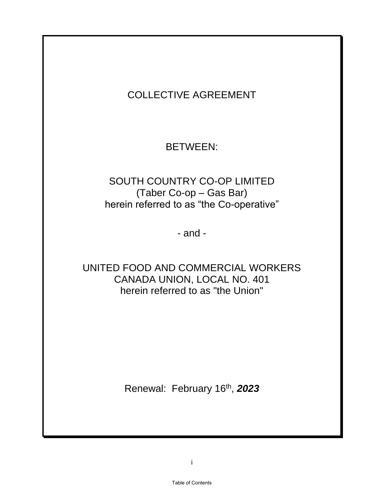# COLLECTIVE AGREEMENT

# BETWEEN:

## SOUTH COUNTRY CO-OP LIMITED (Taber Co-op – Gas Bar) herein referred to as "the Co-operative"

- and -

## UNITED FOOD AND COMMERCIAL WORKERS CANADA UNION, LOCAL NO. 401 herein referred to as "the Union"

Renewal: February 16th , *2023*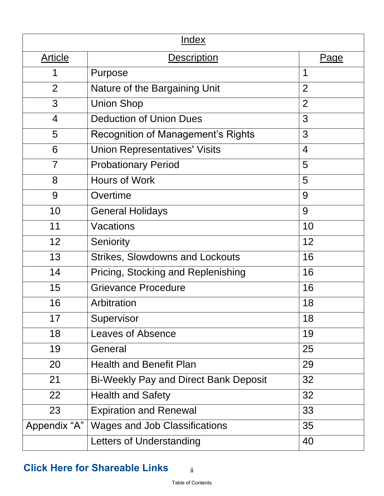<span id="page-1-0"></span>

| <u>Index</u>   |                                              |                |  |  |
|----------------|----------------------------------------------|----------------|--|--|
| <b>Article</b> | <b>Description</b>                           | <u>Page</u>    |  |  |
| 1              | Purpose                                      | 1              |  |  |
| $\overline{2}$ | Nature of the Bargaining Unit                | $\overline{2}$ |  |  |
| 3              | <b>Union Shop</b>                            | $\overline{2}$ |  |  |
| $\overline{4}$ | <b>Deduction of Union Dues</b>               | 3              |  |  |
| 5              | <b>Recognition of Management's Rights</b>    | 3              |  |  |
| 6              | <b>Union Representatives' Visits</b>         | $\overline{4}$ |  |  |
| 7              | <b>Probationary Period</b>                   | 5              |  |  |
| 8              | <b>Hours of Work</b>                         | 5              |  |  |
| 9              | Overtime                                     | 9              |  |  |
| 10             | <b>General Holidays</b>                      | 9              |  |  |
| 11             | Vacations                                    | 10             |  |  |
| 12             | Seniority                                    | 12             |  |  |
| 13             | <b>Strikes, Slowdowns and Lockouts</b>       | 16             |  |  |
| 14             | Pricing, Stocking and Replenishing           | 16             |  |  |
| 15             | <b>Grievance Procedure</b>                   | 16             |  |  |
| 16             | Arbitration                                  | 18             |  |  |
| 17             | Supervisor                                   | 18             |  |  |
| 18             | <b>Leaves of Absence</b>                     | 19             |  |  |
| 19             | General                                      | 25             |  |  |
| 20             | <b>Health and Benefit Plan</b>               | 29             |  |  |
| 21             | <b>Bi-Weekly Pay and Direct Bank Deposit</b> | 32             |  |  |
| 22             | <b>Health and Safety</b>                     | 32             |  |  |
| 23             | <b>Expiration and Renewal</b>                | 33             |  |  |
| Appendix "A"   | <b>Wages and Job Classifications</b>         | 35             |  |  |
|                | Letters of Understanding                     | 40             |  |  |

# **[Click Here for Shareable Links](https://gounion.ca/south-country-co-op-taber-gas-bar-cba-shareable-links/)**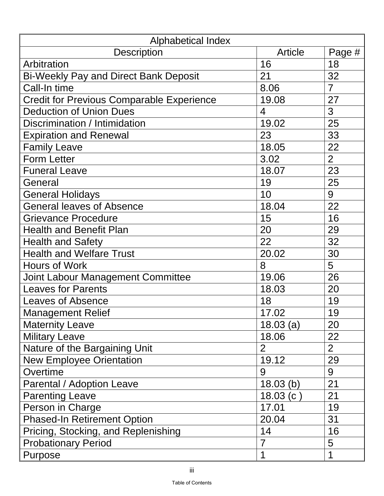| <b>Alphabetical Index</b>                        |                |                |  |  |
|--------------------------------------------------|----------------|----------------|--|--|
| <b>Description</b>                               | Article        | Page #         |  |  |
| Arbitration                                      | 16             | 18             |  |  |
| <b>Bi-Weekly Pay and Direct Bank Deposit</b>     | 21             | 32             |  |  |
| Call-In time                                     | 8.06           | $\overline{7}$ |  |  |
| <b>Credit for Previous Comparable Experience</b> | 19.08          | 27             |  |  |
| <b>Deduction of Union Dues</b>                   | 4              | 3              |  |  |
| Discrimination / Intimidation                    | 19.02          | 25             |  |  |
| <b>Expiration and Renewal</b>                    | 23             | 33             |  |  |
| <b>Family Leave</b>                              | 18.05          | 22             |  |  |
| <b>Form Letter</b>                               | 3.02           | $\overline{2}$ |  |  |
| <b>Funeral Leave</b>                             | 18.07          | 23             |  |  |
| General                                          | 19             | 25             |  |  |
| <b>General Holidays</b>                          | 10             | 9              |  |  |
| <b>General leaves of Absence</b>                 | 18.04          | 22             |  |  |
| <b>Grievance Procedure</b>                       | 15             | 16             |  |  |
| <b>Health and Benefit Plan</b>                   | 20             | 29             |  |  |
| <b>Health and Safety</b>                         | 22             | 32             |  |  |
| <b>Health and Welfare Trust</b>                  | 20.02          | 30             |  |  |
| Hours of Work                                    | 8              | 5              |  |  |
| <b>Joint Labour Management Committee</b>         | 19.06          | 26             |  |  |
| <b>Leaves for Parents</b>                        | 18.03          | 20             |  |  |
| <b>Leaves of Absence</b>                         | 18             | 19             |  |  |
| <b>Management Relief</b>                         | 17.02          | 19             |  |  |
| <b>Maternity Leave</b>                           | 18.03(a)       | 20             |  |  |
| <b>Military Leave</b>                            | 18.06          | 22             |  |  |
| Nature of the Bargaining Unit                    | $\overline{2}$ | $\overline{2}$ |  |  |
| <b>New Employee Orientation</b>                  | 19.12          | 29             |  |  |
| Overtime                                         | 9              | 9              |  |  |
| Parental / Adoption Leave                        | $18.03$ (b)    | 21             |  |  |
| <b>Parenting Leave</b>                           | 18.03(c)       | 21             |  |  |
| Person in Charge                                 | 17.01          | 19             |  |  |
| <b>Phased-In Retirement Option</b>               | 20.04          | 31             |  |  |
| Pricing, Stocking, and Replenishing              | 14             | 16             |  |  |
| <b>Probationary Period</b>                       | $\overline{7}$ | 5              |  |  |
| Purpose                                          | 1              | 1              |  |  |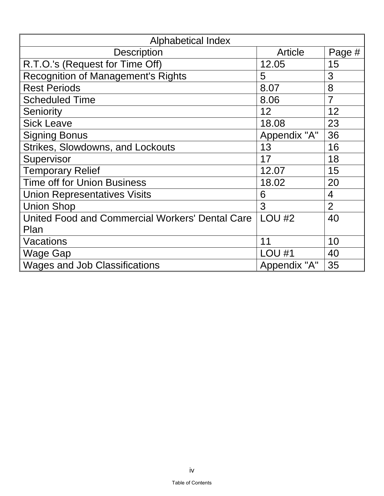| Alphabetical Index                              |               |                |  |
|-------------------------------------------------|---------------|----------------|--|
| <b>Description</b>                              | Article       | Page #         |  |
| R.T.O.'s (Request for Time Off)                 | 12.05         | 15             |  |
| <b>Recognition of Management's Rights</b>       | 5             | 3              |  |
| <b>Rest Periods</b>                             | 8.07          | 8              |  |
| <b>Scheduled Time</b>                           | 8.06          | $\overline{7}$ |  |
| <b>Seniority</b>                                | 12            | 12             |  |
| <b>Sick Leave</b>                               | 18.08         | 23             |  |
| <b>Signing Bonus</b>                            | Appendix "A"  | 36             |  |
| <b>Strikes, Slowdowns, and Lockouts</b>         | 13            | 16             |  |
| Supervisor                                      | 17            | 18             |  |
| <b>Temporary Relief</b>                         | 12.07         | 15             |  |
| <b>Time off for Union Business</b>              | 18.02         | 20             |  |
| <b>Union Representatives Visits</b>             | 6             | 4              |  |
| <b>Union Shop</b>                               | 3             | $\overline{2}$ |  |
| United Food and Commercial Workers' Dental Care | <b>LOU #2</b> | 40             |  |
| Plan                                            |               |                |  |
| Vacations                                       | 11            | 10             |  |
| Wage Gap                                        | <b>LOU #1</b> | 40             |  |
| <b>Wages and Job Classifications</b>            | Appendix "A"  | 35             |  |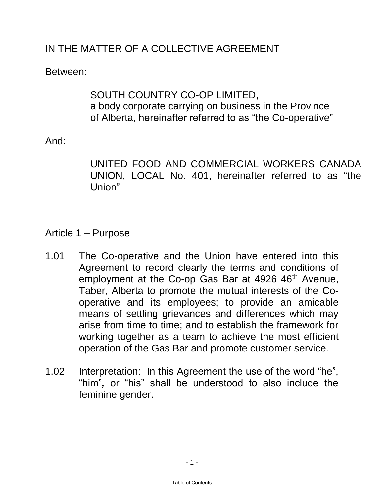# <span id="page-4-0"></span>IN THE MATTER OF A COLLECTIVE AGREEMENT

Between:

## SOUTH COUNTRY CO-OP LIMITED, a body corporate carrying on business in the Province of Alberta, hereinafter referred to as "the Co-operative"

## And:

UNITED FOOD AND COMMERCIAL WORKERS CANADA UNION, LOCAL No. 401, hereinafter referred to as "the Union"

# Article 1 – Purpose

- 1.01 The Co-operative and the Union have entered into this Agreement to record clearly the terms and conditions of employment at the Co-op Gas Bar at 4926 46<sup>th</sup> Avenue, Taber, Alberta to promote the mutual interests of the Cooperative and its employees; to provide an amicable means of settling grievances and differences which may arise from time to time; and to establish the framework for working together as a team to achieve the most efficient operation of the Gas Bar and promote customer service.
- 1.02 Interpretation: In this Agreement the use of the word "he", "him"*,* or "his" shall be understood to also include the feminine gender.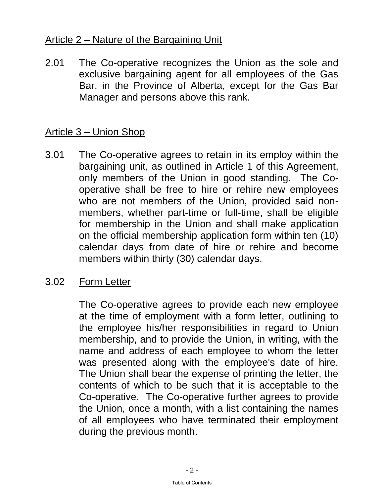## <span id="page-5-0"></span>Article 2 – Nature of the Bargaining Unit

2.01 The Co-operative recognizes the Union as the sole and exclusive bargaining agent for all employees of the Gas Bar, in the Province of Alberta, except for the Gas Bar Manager and persons above this rank.

## Article 3 – Union Shop

3.01 The Co-operative agrees to retain in its employ within the bargaining unit, as outlined in Article 1 of this Agreement, only members of the Union in good standing. The Cooperative shall be free to hire or rehire new employees who are not members of the Union, provided said nonmembers, whether part-time or full-time, shall be eligible for membership in the Union and shall make application on the official membership application form within ten (10) calendar days from date of hire or rehire and become members within thirty (30) calendar days.

## 3.02 Form Letter

 The Co-operative agrees to provide each new employee at the time of employment with a form letter, outlining to the employee his/her responsibilities in regard to Union membership, and to provide the Union, in writing, with the name and address of each employee to whom the letter was presented along with the employee's date of hire. The Union shall bear the expense of printing the letter, the contents of which to be such that it is acceptable to the Co-operative. The Co-operative further agrees to provide the Union, once a month, with a list containing the names of all employees who have terminated their employment during the previous month.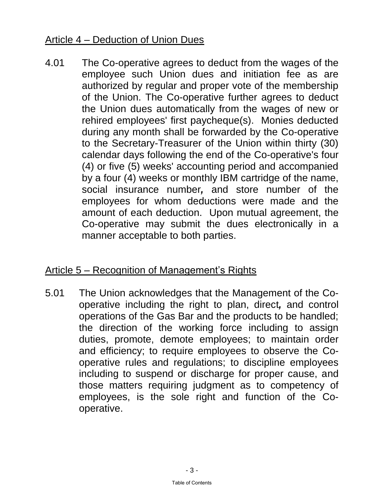# <span id="page-6-0"></span>Article 4 – Deduction of Union Dues

4.01 The Co-operative agrees to deduct from the wages of the employee such Union dues and initiation fee as are authorized by regular and proper vote of the membership of the Union. The Co-operative further agrees to deduct the Union dues automatically from the wages of new or rehired employees' first paycheque(s). Monies deducted during any month shall be forwarded by the Co-operative to the Secretary-Treasurer of the Union within thirty (30) calendar days following the end of the Co-operative's four (4) or five (5) weeks' accounting period and accompanied by a four (4) weeks or monthly IBM cartridge of the name, social insurance number*,* and store number of the employees for whom deductions were made and the amount of each deduction. Upon mutual agreement, the Co-operative may submit the dues electronically in a manner acceptable to both parties.

## Article 5 – Recognition of Management's Rights

5.01 The Union acknowledges that the Management of the Cooperative including the right to plan, direct*,* and control operations of the Gas Bar and the products to be handled; the direction of the working force including to assign duties, promote, demote employees; to maintain order and efficiency; to require employees to observe the Cooperative rules and regulations; to discipline employees including to suspend or discharge for proper cause, and those matters requiring judgment as to competency of employees, is the sole right and function of the Cooperative.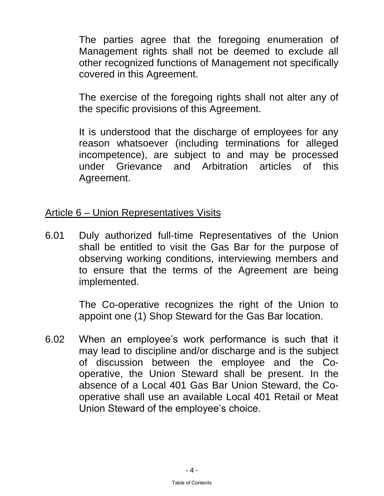<span id="page-7-0"></span> The parties agree that the foregoing enumeration of Management rights shall not be deemed to exclude all other recognized functions of Management not specifically covered in this Agreement.

 The exercise of the foregoing rights shall not alter any of the specific provisions of this Agreement.

It is understood that the discharge of employees for any reason whatsoever (including terminations for alleged incompetence), are subject to and may be processed under Grievance and Arbitration articles of this Agreement.

## Article 6 – Union Representatives Visits

6.01 Duly authorized full-time Representatives of the Union shall be entitled to visit the Gas Bar for the purpose of observing working conditions, interviewing members and to ensure that the terms of the Agreement are being implemented.

> The Co-operative recognizes the right of the Union to appoint one (1) Shop Steward for the Gas Bar location.

6.02 When an employee's work performance is such that it may lead to discipline and/or discharge and is the subject of discussion between the employee and the Cooperative, the Union Steward shall be present. In the absence of a Local 401 Gas Bar Union Steward, the Cooperative shall use an available Local 401 Retail or Meat Union Steward of the employee's choice.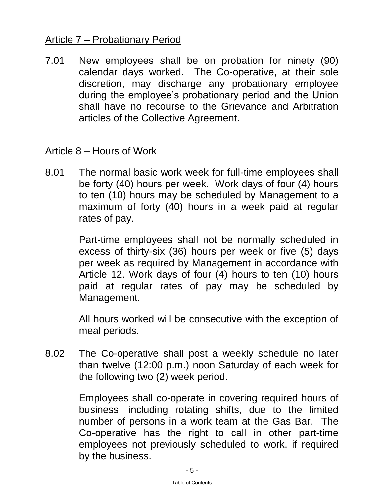## <span id="page-8-0"></span>Article 7 – Probationary Period

7.01 New employees shall be on probation for ninety (90) calendar days worked. The Co-operative, at their sole discretion, may discharge any probationary employee during the employee's probationary period and the Union shall have no recourse to the Grievance and Arbitration articles of the Collective Agreement.

#### Article 8 – Hours of Work

8.01 The normal basic work week for full-time employees shall be forty (40) hours per week. Work days of four (4) hours to ten (10) hours may be scheduled by Management to a maximum of forty (40) hours in a week paid at regular rates of pay.

> Part-time employees shall not be normally scheduled in excess of thirty-six (36) hours per week or five (5) days per week as required by Management in accordance with Article 12. Work days of four (4) hours to ten (10) hours paid at regular rates of pay may be scheduled by Management.

> All hours worked will be consecutive with the exception of meal periods.

8.02 The Co-operative shall post a weekly schedule no later than twelve (12:00 p.m.) noon Saturday of each week for the following two (2) week period.

> Employees shall co-operate in covering required hours of business, including rotating shifts, due to the limited number of persons in a work team at the Gas Bar. The Co-operative has the right to call in other part-time employees not previously scheduled to work, if required by the business.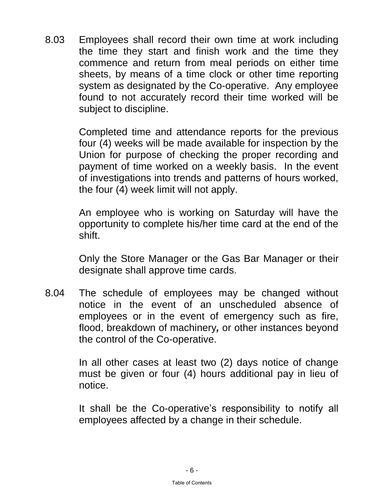8.03 Employees shall record their own time at work including the time they start and finish work and the time they commence and return from meal periods on either time sheets, by means of a time clock or other time reporting system as designated by the Co-operative. Any employee found to not accurately record their time worked will be subject to discipline.

> Completed time and attendance reports for the previous four (4) weeks will be made available for inspection by the Union for purpose of checking the proper recording and payment of time worked on a weekly basis. In the event of investigations into trends and patterns of hours worked, the four (4) week limit will not apply.

> An employee who is working on Saturday will have the opportunity to complete his/her time card at the end of the shift.

> Only the Store Manager or the Gas Bar Manager or their designate shall approve time cards.

8.04 The schedule of employees may be changed without notice in the event of an unscheduled absence of employees or in the event of emergency such as fire, flood, breakdown of machinery*,* or other instances beyond the control of the Co-operative.

> In all other cases at least two (2) days notice of change must be given or four (4) hours additional pay in lieu of notice.

> It shall be the Co-operative's responsibility to notify all employees affected by a change in their schedule.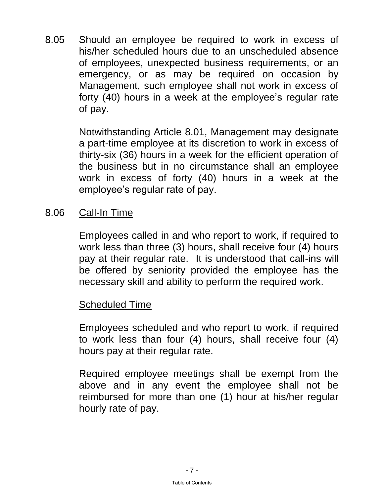<span id="page-10-0"></span>8.05 Should an employee be required to work in excess of his/her scheduled hours due to an unscheduled absence of employees, unexpected business requirements, or an emergency, or as may be required on occasion by Management, such employee shall not work in excess of forty (40) hours in a week at the employee's regular rate of pay.

> Notwithstanding Article 8.01, Management may designate a part-time employee at its discretion to work in excess of thirty-six (36) hours in a week for the efficient operation of the business but in no circumstance shall an employee work in excess of forty (40) hours in a week at the employee's regular rate of pay.

8.06 Call-In Time

 Employees called in and who report to work, if required to work less than three (3) hours, shall receive four (4) hours pay at their regular rate. It is understood that call-ins will be offered by seniority provided the employee has the necessary skill and ability to perform the required work.

#### Scheduled Time

 Employees scheduled and who report to work, if required to work less than four (4) hours, shall receive four (4) hours pay at their regular rate.

 Required employee meetings shall be exempt from the above and in any event the employee shall not be reimbursed for more than one (1) hour at his/her regular hourly rate of pay.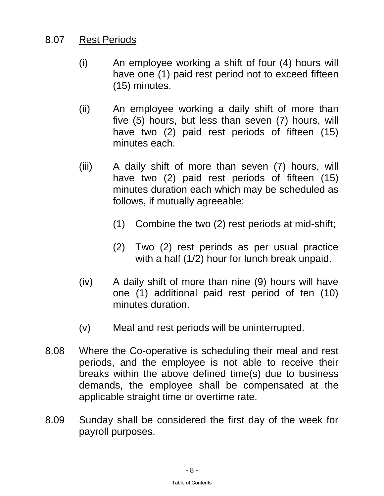## <span id="page-11-0"></span>8.07 Rest Periods

- (i) An employee working a shift of four (4) hours will have one (1) paid rest period not to exceed fifteen (15) minutes.
- (ii) An employee working a daily shift of more than five (5) hours, but less than seven (7) hours, will have two (2) paid rest periods of fifteen (15) minutes each.
- (iii) A daily shift of more than seven (7) hours, will have two (2) paid rest periods of fifteen (15) minutes duration each which may be scheduled as follows, if mutually agreeable:
	- (1) Combine the two (2) rest periods at mid-shift;
	- (2) Two (2) rest periods as per usual practice with a half (1/2) hour for lunch break unpaid.
- (iv) A daily shift of more than nine (9) hours will have one (1) additional paid rest period of ten (10) minutes duration.
- (v) Meal and rest periods will be uninterrupted.
- 8.08 Where the Co-operative is scheduling their meal and rest periods, and the employee is not able to receive their breaks within the above defined time(s) due to business demands, the employee shall be compensated at the applicable straight time or overtime rate.
- 8.09 Sunday shall be considered the first day of the week for payroll purposes.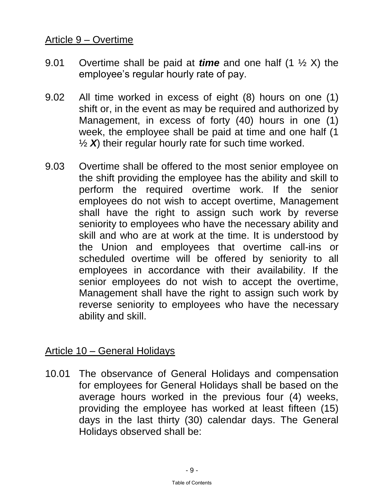## <span id="page-12-0"></span>Article 9 – Overtime

- 9.01 Overtime shall be paid at *time* and one half (1 ½ X) the employee's regular hourly rate of pay.
- 9.02 All time worked in excess of eight (8) hours on one (1) shift or, in the event as may be required and authorized by Management, in excess of forty (40) hours in one (1) week, the employee shall be paid at time and one half (1 ½ *X*) their regular hourly rate for such time worked.
- 9.03 Overtime shall be offered to the most senior employee on the shift providing the employee has the ability and skill to perform the required overtime work. If the senior employees do not wish to accept overtime, Management shall have the right to assign such work by reverse seniority to employees who have the necessary ability and skill and who are at work at the time. It is understood by the Union and employees that overtime call-ins or scheduled overtime will be offered by seniority to all employees in accordance with their availability. If the senior employees do not wish to accept the overtime, Management shall have the right to assign such work by reverse seniority to employees who have the necessary ability and skill.

# Article 10 – General Holidays

10.01 The observance of General Holidays and compensation for employees for General Holidays shall be based on the average hours worked in the previous four (4) weeks, providing the employee has worked at least fifteen (15) days in the last thirty (30) calendar days. The General Holidays observed shall be: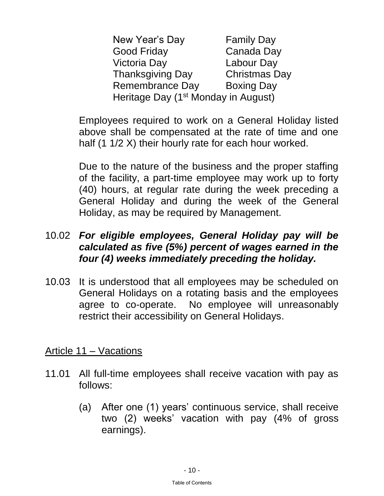<span id="page-13-0"></span>New Year's Day Family Day Good Friday Canada Day Victoria Day Labour Day Thanksgiving Day Christmas Day Remembrance Day Boxing Day Heritage Day (1<sup>st</sup> Monday in August)

 Employees required to work on a General Holiday listed above shall be compensated at the rate of time and one half (1 1/2 X) their hourly rate for each hour worked.

 Due to the nature of the business and the proper staffing of the facility, a part-time employee may work up to forty (40) hours, at regular rate during the week preceding a General Holiday and during the week of the General Holiday, as may be required by Management.

## 10.02 *For eligible employees, General Holiday pay will be calculated as five (5%) percent of wages earned in the four (4) weeks immediately preceding the holiday.*

10.03 It is understood that all employees may be scheduled on General Holidays on a rotating basis and the employees agree to co-operate. No employee will unreasonably restrict their accessibility on General Holidays.

Article 11 – Vacations

- 11.01 All full-time employees shall receive vacation with pay as follows:
	- (a) After one (1) years' continuous service, shall receive two (2) weeks' vacation with pay (4% of gross earnings).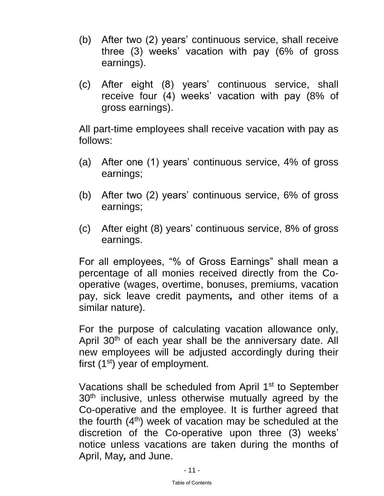- (b) After two (2) years' continuous service, shall receive three (3) weeks' vacation with pay (6% of gross earnings).
- (c) After eight (8) years' continuous service, shall receive four (4) weeks' vacation with pay (8% of gross earnings).

 All part-time employees shall receive vacation with pay as follows:

- (a) After one (1) years' continuous service, 4% of gross earnings;
- (b) After two (2) years' continuous service, 6% of gross earnings;
- (c) After eight (8) years' continuous service, 8% of gross earnings.

For all employees, "% of Gross Earnings" shall mean a percentage of all monies received directly from the Cooperative (wages, overtime, bonuses, premiums, vacation pay, sick leave credit payments*,* and other items of a similar nature).

 For the purpose of calculating vacation allowance only, April 30<sup>th</sup> of each year shall be the anniversary date. All new employees will be adjusted accordingly during their first  $(1<sup>st</sup>)$  year of employment.

Vacations shall be scheduled from April 1<sup>st</sup> to September 30<sup>th</sup> inclusive, unless otherwise mutually agreed by the Co-operative and the employee. It is further agreed that the fourth  $(4<sup>th</sup>)$  week of vacation may be scheduled at the discretion of the Co-operative upon three (3) weeks' notice unless vacations are taken during the months of April, May*,* and [June.](#page-1-0)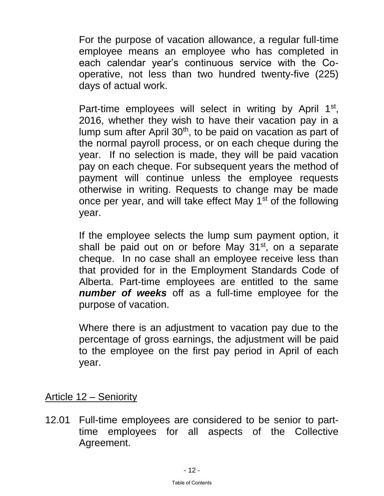<span id="page-15-0"></span> For the purpose of vacation allowance, a regular full-time employee means an employee who has completed in each calendar year's continuous service with the Cooperative, not less than two hundred twenty-five (225) days of actual work.

Part-time employees will select in writing by April 1<sup>st</sup>, 2016, whether they wish to have their vacation pay in a lump sum after April  $30<sup>th</sup>$ , to be paid on vacation as part of the normal payroll process, or on each cheque during the year. If no selection is made, they will be paid vacation pay on each cheque. For subsequent years the method of payment will continue unless the employee requests otherwise in writing. Requests to change may be made once per year, and will take effect May 1<sup>st</sup> of the following year.

> If the employee selects the lump sum payment option, it shall be paid out on or before May  $31<sup>st</sup>$ , on a separate cheque. In no case shall an employee receive less than that provided for in the Employment Standards Code of Alberta. Part-time employees are entitled to the same *number of weeks* off as a full-time employee for the purpose of vacation.

> Where there is an adjustment to vacation pay due to the percentage of gross earnings, the adjustment will be paid to the employee on the first pay period in April of each year.

## Article 12 – Seniority

12.01 Full-time employees are considered to be senior to parttime employees for all aspects of the Collective Agreement.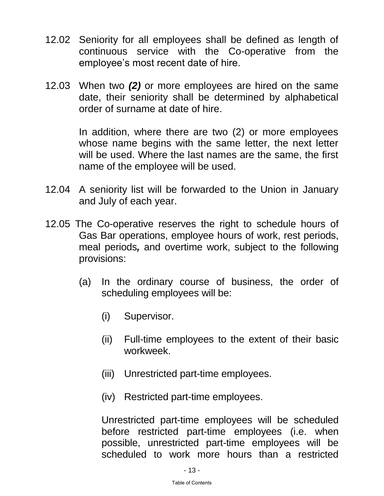- 12.02 Seniority for all employees shall be defined as length of continuous service with the Co-operative from the employee's most recent date of hire.
- 12.03 When two *(2)* or more employees are hired on the same date, their seniority shall be determined by alphabetical order of surname at date of hire.

In addition, where there are two (2) or more employees whose name begins with the same letter, the next letter will be used. Where the last names are the same, the first name of the employee will be used.

- 12.04 A seniority list will be forwarded to the Union in January and July of each year.
- 12.05 The Co-operative reserves the right to schedule hours of Gas Bar operations, employee hours of work, rest periods, meal periods*,* and overtime work, subject to the following provisions:
	- (a) In the ordinary course of business, the order of scheduling employees will be:
		- (i) Supervisor.
		- (ii) Full-time employees to the extent of their basic workweek.
		- (iii) Unrestricted part-time employees.
		- (iv) Restricted part-time employees.

Unrestricted part-time employees will be scheduled before restricted part-time employees (i.e. when possible, unrestricted part-time employees will be scheduled to work more hours than a restricted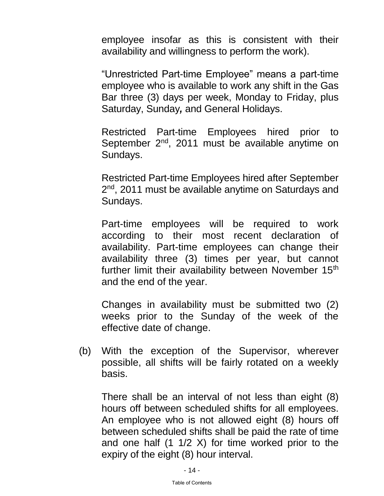employee insofar as this is consistent with their availability and willingness to perform the work).

"Unrestricted Part-time Employee" means a part-time employee who is available to work any shift in the Gas Bar three (3) days per week, Monday to Friday, plus Saturday, Sunday*,* and General Holidays.

Restricted Part-time Employees hired prior to September 2<sup>nd</sup>, 2011 must be available anytime on Sundays.

Restricted Part-time Employees hired after September 2<sup>nd</sup>, 2011 must be available anytime on Saturdays and Sundays.

Part-time employees will be required to work according to their most recent declaration of availability. Part-time employees can change their availability three (3) times per year, but cannot further limit their availability between November 15<sup>th</sup> and the end of the year.

Changes in availability must be submitted two (2) weeks prior to the Sunday of the week of the effective date of change.

(b) With the exception of the Supervisor, wherever possible, all shifts will be fairly rotated on a weekly basis.

There shall be an interval of not less than eight (8) hours off between scheduled shifts for all employees. An employee who is not allowed eight (8) hours off between scheduled shifts shall be paid the rate of time and one half (1 1/2 X) for time worked prior to the expiry of the eight (8) hour interval.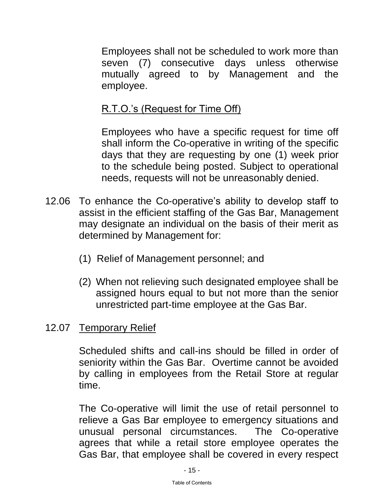<span id="page-18-0"></span>Employees shall not be scheduled to work more than seven (7) consecutive days unless otherwise mutually agreed to by Management and the employee.

# R.T.O.'s (Request for Time Off)

Employees who have a specific request for time off shall inform the Co-operative in writing of the specific days that they are requesting by one (1) week prior to the schedule being posted. Subject to operational needs, requests will not be unreasonably denied.

- 12.06 To enhance the Co-operative's ability to develop staff to assist in the efficient staffing of the Gas Bar, Management may designate an individual on the basis of their merit as determined by Management for:
	- (1) Relief of Management personnel; and
	- (2) When not relieving such designated employee shall be assigned hours equal to but not more than the senior unrestricted part-time employee at the Gas Bar.

## 12.07 Temporary Relief

Scheduled shifts and call-ins should be filled in order of seniority within the Gas Bar. Overtime cannot be avoided by calling in employees from the Retail Store at regular time.

The Co-operative will limit the use of retail personnel to relieve a Gas Bar employee to emergency situations and unusual personal circumstances. The Co-operative agrees that while a retail store employee operates the Gas Bar, that employee shall be covered in every respect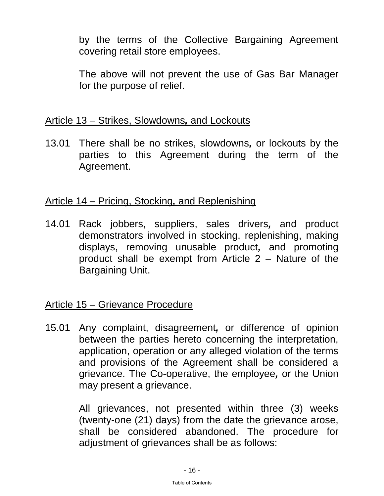<span id="page-19-0"></span>by the terms of the Collective Bargaining Agreement covering retail store employees.

The above will not prevent the use of Gas Bar Manager for the purpose of relief.

#### Article 13 – Strikes, Slowdowns*,* and Lockouts

13.01 There shall be no strikes, slowdowns*,* or lockouts by the parties to this Agreement during the term of the Agreement.

## Article 14 – Pricing, Stocking*,* and Replenishing

14.01 Rack jobbers, suppliers, sales drivers*,* and product demonstrators involved in stocking, replenishing, making displays, removing unusable product*,* and promoting product shall be exempt from Article 2 – Nature of the Bargaining Unit.

## Article 15 – Grievance Procedure

15.01 Any complaint, disagreement*,* or difference of opinion between the parties hereto concerning the interpretation, application, operation or any alleged violation of the terms and provisions of the Agreement shall be considered a grievance. The Co-operative, the employee*,* or the Union may present a grievance.

> All grievances, not presented within three (3) weeks (twenty-one (21) days) from the date the grievance arose, shall be considered abandoned. The procedure for adjustment of grievances shall be as follows: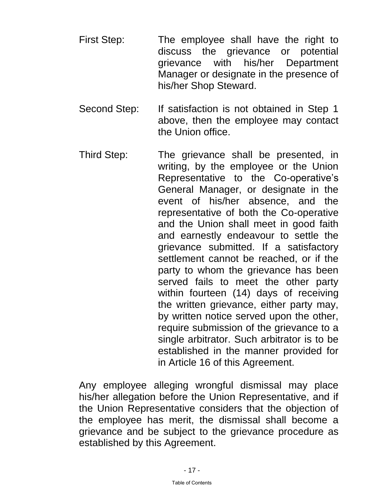- First Step: The employee shall have the right to discuss the grievance or potential grievance with his/her Department Manager or designate in the presence of his/her Shop Steward.
- Second Step: If satisfaction is not obtained in Step 1 above, then the employee may contact the Union office.
- Third Step: The grievance shall be presented, in writing, by the employee or the Union Representative to the Co-operative's General Manager, or designate in the event of his/her absence, and the representative of both the Co-operative and the Union shall meet in good faith and earnestly endeavour to settle the grievance submitted. If a satisfactory settlement cannot be reached, or if the party to whom the grievance has been served fails to meet the other party within fourteen (14) days of receiving the written grievance, either party may, by written notice served upon the other, require submission of the grievance to a single arbitrator. Such arbitrator is to be established in the manner provided for in Article 16 of this Agreement.

 Any employee alleging wrongful dismissal may place his/her allegation before the Union Representative, and if the Union Representative considers that the objection of the employee has merit, the dismissal shall become a grievance and be subject to the grievance procedure as established by this Agreement.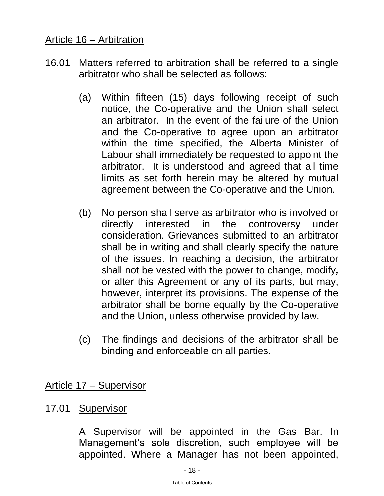## <span id="page-21-0"></span>Article 16 – Arbitration

- 16.01 Matters referred to arbitration shall be referred to a single arbitrator who shall be selected as follows:
	- (a) Within fifteen (15) days following receipt of such notice, the Co-operative and the Union shall select an arbitrator. In the event of the failure of the Union and the Co-operative to agree upon an arbitrator within the time specified, the Alberta Minister of Labour shall immediately be requested to appoint the arbitrator. It is understood and agreed that all time limits as set forth herein may be altered by mutual agreement between the Co-operative and the Union.
	- (b) No person shall serve as arbitrator who is involved or directly interested in the controversy under consideration. Grievances submitted to an arbitrator shall be in writing and shall clearly specify the nature of the issues. In reaching a decision, the arbitrator shall not be vested with the power to change, modify*,* or alter this Agreement or any of its parts, but may, however, interpret its provisions. The expense of the arbitrator shall be borne equally by the Co-operative and the Union, unless otherwise provided by law.
	- (c) The findings and decisions of the arbitrator shall be binding and enforceable on all parties.

Article 17 – Supervisor

#### 17.01 Supervisor

A Supervisor will be appointed in the Gas Bar. In Management's sole discretion, such employee will be appointed. Where a Manager has not been appointed,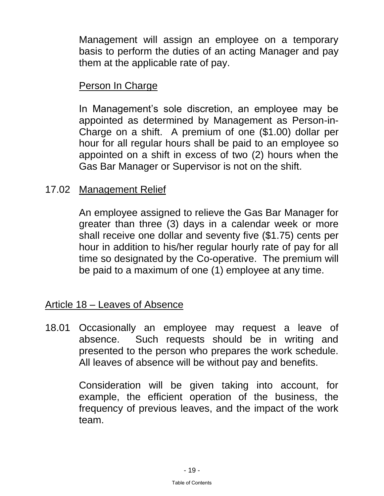<span id="page-22-0"></span>Management will assign an employee on a temporary basis to perform the duties of an acting Manager and pay them at the applicable rate of pay.

## Person In Charge

In Management's sole discretion, an employee may be appointed as determined by Management as Person-in-Charge on a shift. A premium of one (\$1.00) dollar per hour for all regular hours shall be paid to an employee so appointed on a shift in excess of two (2) hours when the Gas Bar Manager or Supervisor is not on the shift.

## 17.02 Management Relief

 An employee assigned to relieve the Gas Bar Manager for greater than three (3) days in a calendar week or more shall receive one dollar and seventy five (\$1.75) cents per hour in addition to his/her regular hourly rate of pay for all time so designated by the Co-operative. The premium will be paid to a maximum of one (1) employee at any time.

#### Article 18 – Leaves of Absence

18.01 Occasionally an employee may request a leave of absence. Such requests should be in writing and presented to the person who prepares the work schedule. All leaves of absence will be without pay and benefits.

> Consideration will be given taking into account, for example, the efficient operation of the business, the frequency of previous leaves, and the impact of the work team.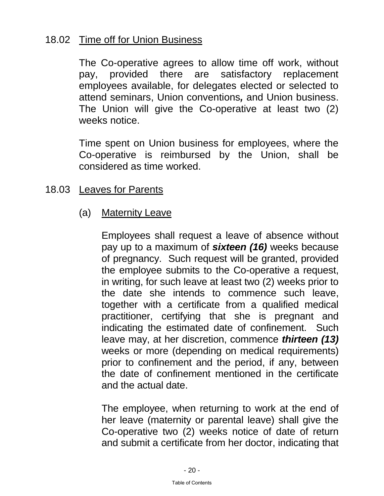## <span id="page-23-0"></span>18.02 Time off for Union Business

 The Co-operative agrees to allow time off work, without pay, provided there are satisfactory replacement employees available, for delegates elected or selected to attend seminars, Union conventions*,* and Union business. The Union will give the Co-operative at least two (2) weeks notice.

 Time spent on Union business for employees, where the Co-operative is reimbursed by the Union, shall be considered as time worked.

## 18.03 Leaves for Parents

(a) Maternity Leave

 Employees shall request a leave of absence without pay up to a maximum of *sixteen (16)* weeks because of pregnancy. Such request will be granted, provided the employee submits to the Co-operative a request, in writing, for such leave at least two (2) weeks prior to the date she intends to commence such leave, together with a certificate from a qualified medical practitioner, certifying that she is pregnant and indicating the estimated date of confinement. Such leave may, at her discretion, commence *thirteen (13)* weeks or more (depending on medical requirements) prior to confinement and the period, if any, between the date of confinement mentioned in the certificate and the actual date.

 The employee, when returning to work at the end of her leave (maternity or parental leave) shall give the Co-operative two (2) weeks notice of date of return and submit a certificate from her doctor, indicating that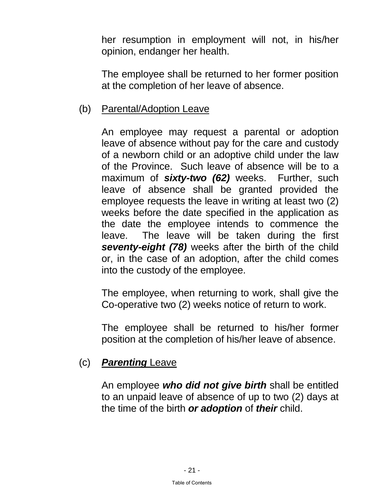<span id="page-24-0"></span>her resumption in employment will not, in his/her opinion, endanger her health.

 The employee shall be returned to her former position at the completion of her leave of absence.

#### (b) Parental/Adoption Leave

 An employee may request a parental or adoption leave of absence without pay for the care and custody of a newborn child or an adoptive child under the law of the Province. Such leave of absence will be to a maximum of *sixty-two (62)* weeks. Further, such leave of absence shall be granted provided the employee requests the leave in writing at least two (2) weeks before the date specified in the application as the date the employee intends to commence the leave. The leave will be taken during the first *seventy-eight (78)* weeks after the birth of the child or, in the case of an adoption, after the child comes into the custody of the employee.

 The employee, when returning to work, shall give the Co-operative two (2) weeks notice of return to work.

 The employee shall be returned to his/her former position at the completion of his/her leave of absence.

#### (c) *Parenting* Leave

 An employee *who did not give birth* shall be entitled to an unpaid leave of absence of up to two (2) days at the time of the birth *or adoption* of *their* child.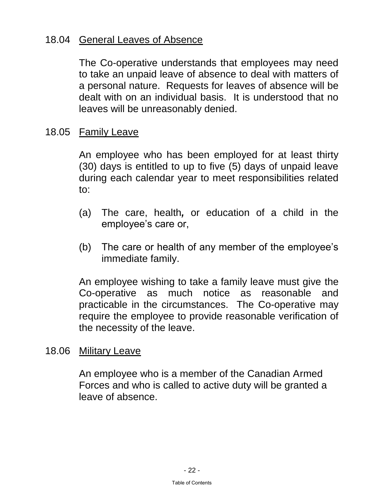## <span id="page-25-0"></span>18.04 General Leaves of Absence

The Co-operative understands that employees may need to take an unpaid leave of absence to deal with matters of a personal nature. Requests for leaves of absence will be dealt with on an individual basis. It is understood that no leaves will be unreasonably denied.

18.05 Family Leave

An employee who has been employed for at least thirty (30) days is entitled to up to five (5) days of unpaid leave during each calendar year to meet responsibilities related to:

- (a) The care, health*,* or education of a child in the employee's care or,
- (b) The care or health of any member of the employee's immediate family.

An employee wishing to take a family leave must give the Co-operative as much notice as reasonable and practicable in the circumstances. The Co-operative may require the employee to provide reasonable verification of the necessity of the leave.

18.06 Military Leave

An employee who is a member of the Canadian Armed Forces and who is called to active duty will be granted a leave of absence.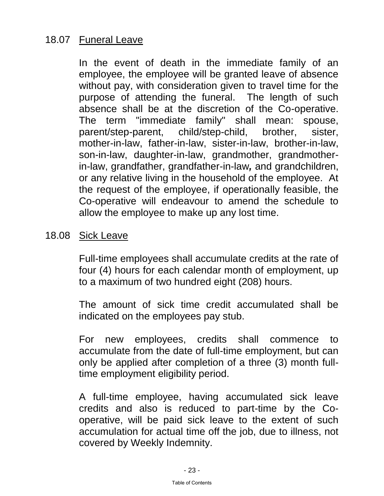## <span id="page-26-0"></span>18.07 Funeral Leave

In the event of death in the immediate family of an employee, the employee will be granted leave of absence without pay, with consideration given to travel time for the purpose of attending the funeral. The length of such absence shall be at the discretion of the Co-operative. The term "immediate family" shall mean: spouse, parent/step-parent, child/step-child, brother, sister, mother-in-law, father-in-law, sister-in-law, brother-in-law, son-in-law, daughter-in-law, grandmother, grandmotherin-law, grandfather, grandfather-in-law*,* and grandchildren, or any relative living in the household of the employee. At the request of the employee, if operationally feasible, the Co-operative will endeavour to amend the schedule to allow the employee to make up any lost time.

#### 18.08 Sick Leave

Full-time employees shall accumulate credits at the rate of four (4) hours for each calendar month of employment, up to a maximum of two hundred eight (208) hours.

The amount of sick time credit accumulated shall be indicated on the employees pay stub.

For new employees, credits shall commence to accumulate from the date of full-time employment, but can only be applied after completion of a three (3) month fulltime employment eligibility period.

A full-time employee, having accumulated sick leave credits and also is reduced to part-time by the Cooperative, will be paid sick leave to the extent of such accumulation for actual time off the job, due to illness, not covered by Weekly Indemnity.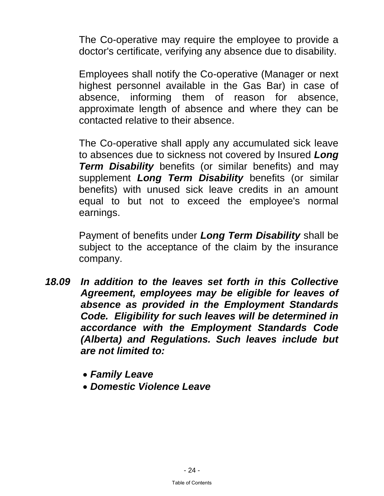The Co-operative may require the employee to provide a doctor's certificate, verifying any absence due to disability.

Employees shall notify the Co-operative (Manager or next highest personnel available in the Gas Bar) in case of absence, informing them of reason for absence, approximate length of absence and where they can be contacted relative to their absence.

The Co-operative shall apply any accumulated sick leave to absences due to sickness not covered by Insured *Long Term Disability* benefits (or similar benefits) and may supplement *Long Term Disability* benefits (or similar benefits) with unused sick leave credits in an amount equal to but not to exceed the employee's normal earnings.

Payment of benefits under *Long Term Disability* shall be subject to the acceptance of the claim by the insurance company.

- 18.09 In addition to the leaves set forth in this Collective *Agreement, employees may be eligible for leaves of absence as provided in the Employment Standards Code. Eligibility for such leaves will be determined in accordance with the Employment Standards Code (Alberta) and Regulations. Such leaves include but are not limited to:* 
	- *Family Leave*
	- *Domestic Violence Leave*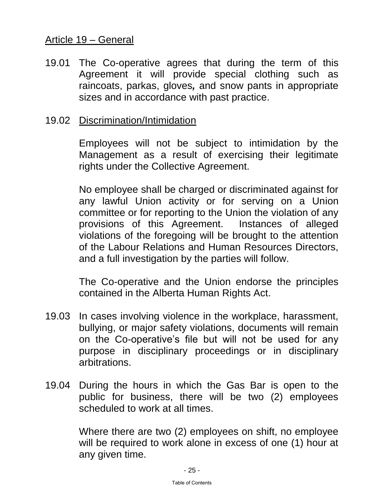## <span id="page-28-0"></span>Article 19 – General

19.01 The Co-operative agrees that during the term of this Agreement it will provide special clothing such as raincoats, parkas, gloves*,* and snow pants in appropriate sizes and in accordance with past practice.

#### 19.02 Discrimination/Intimidation

Employees will not be subject to intimidation by the Management as a result of exercising their legitimate rights under the Collective Agreement.

No employee shall be charged or discriminated against for any lawful Union activity or for serving on a Union committee or for reporting to the Union the violation of any provisions of this Agreement. Instances of alleged violations of the foregoing will be brought to the attention of the Labour Relations and Human Resources Directors, and a full investigation by the parties will follow.

The Co-operative and the Union endorse the principles contained in the Alberta Human Rights Act.

- 19.03 In cases involving violence in the workplace, harassment, bullying, or major safety violations, documents will remain on the Co-operative's file but will not be used for any purpose in disciplinary proceedings or in disciplinary arbitrations.
- 19.04 During the hours in which the Gas Bar is open to the public for business, there will be two (2) employees scheduled to work at all times.

 Where there are two (2) employees on shift, no employee will be required to work alone in excess of one (1) hour at any given time.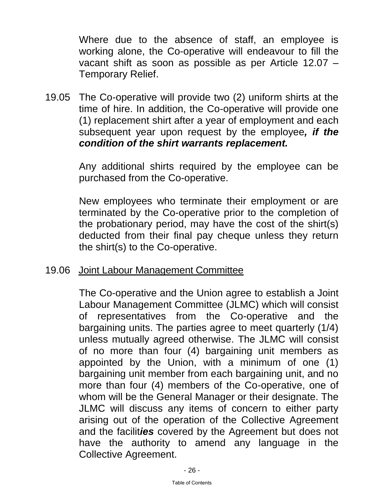<span id="page-29-0"></span> Where due to the absence of staff, an employee is working alone, the Co-operative will endeavour to fill the vacant shift as soon as possible as per Article 12.07 – Temporary Relief.

19.05 The Co-operative will provide two (2) uniform shirts at the time of hire. In addition, the Co-operative will provide one (1) replacement shirt after a year of employment and each subsequent year upon request by the employee*, if the condition of the shirt warrants replacement.*

> Any additional shirts required by the employee can be purchased from the Co-operative.

> New employees who terminate their employment or are terminated by the Co-operative prior to the completion of the probationary period, may have the cost of the shirt(s) deducted from their final pay cheque unless they return the shirt(s) to the Co-operative.

#### 19.06 Joint Labour Management Committee

The Co-operative and the Union agree to establish a Joint Labour Management Committee (JLMC) which will consist of representatives from the Co-operative and the bargaining units. The parties agree to meet quarterly (1/4) unless mutually agreed otherwise. The JLMC will consist of no more than four (4) bargaining unit members as appointed by the Union, with a minimum of one (1) bargaining unit member from each bargaining unit, and no more than four (4) members of the Co-operative, one of whom will be the General Manager or their designate. The JLMC will discuss any items of concern to either party arising out of the operation of the Collective Agreement and the facilit*ies* covered by the Agreement but does not have the authority to amend any language in the Collective Agree[ment.](#page-1-0)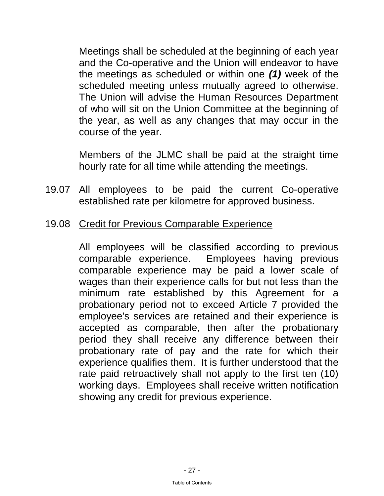<span id="page-30-0"></span>Meetings shall be scheduled at the beginning of each year and the Co-operative and the Union will endeavor to have the meetings as scheduled or within one *(1)* week of the scheduled meeting unless mutually agreed to otherwise. The Union will advise the Human Resources Department of who will sit on the Union Committee at the beginning of the year, as well as any changes that may occur in the course of the year.

Members of the JLMC shall be paid at the straight time hourly rate for all time while attending the meetings.

- 19.07 All employees to be paid the current Co-operative established rate per kilometre for approved business.
- 19.08 Credit for Previous Comparable Experience

 All employees will be classified according to previous comparable experience. Employees having previous comparable experience may be paid a lower scale of wages than their experience calls for but not less than the minimum rate established by this Agreement for a probationary period not to exceed Article 7 provided the employee's services are retained and their experience is accepted as comparable, then after the probationary period they shall receive any difference between their probationary rate of pay and the rate for which their experience qualifies them. It is further understood that the rate paid retroactively shall not apply to the first ten (10) working days. Employees shall receive written notification showing any credit for previous experience.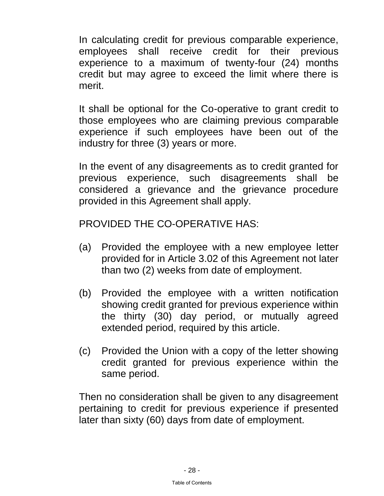In calculating credit for previous comparable experience, employees shall receive credit for their previous experience to a maximum of twenty-four (24) months credit but may agree to exceed the limit where there is merit.

 It shall be optional for the Co-operative to grant credit to those employees who are claiming previous comparable experience if such employees have been out of the industry for three (3) years or more.

 In the event of any disagreements as to credit granted for previous experience, such disagreements shall be considered a grievance and the grievance procedure provided in this Agreement shall apply.

PROVIDED THE CO-OPERATIVE HAS:

- (a) Provided the employee with a new employee letter provided for in Article 3.02 of this Agreement not later than two (2) weeks from date of employment.
- (b) Provided the employee with a written notification showing credit granted for previous experience within the thirty (30) day period, or mutually agreed extended period, required by this article.
- (c) Provided the Union with a copy of the letter showing credit granted for previous experience within the same period.

 Then no consideration shall be given to any disagreement pertaining to credit for previous experience if presented later than sixty (60) days from date of employment.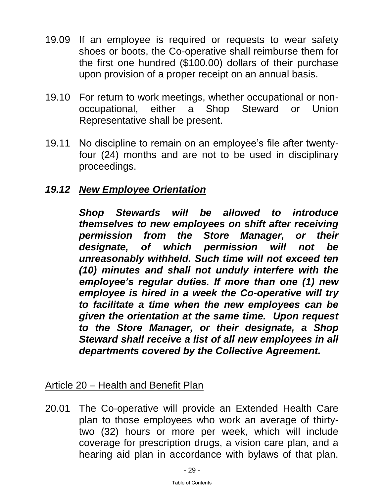- <span id="page-32-0"></span>19.09 If an employee is required or requests to wear safety shoes or boots, the Co-operative shall reimburse them for the first one hundred (\$100.00) dollars of their purchase upon provision of a proper receipt on an annual basis.
- 19.10 For return to work meetings, whether occupational or nonoccupational, either a Shop Steward or Union Representative shall be present.
- 19.11 No discipline to remain on an employee's file after twentyfour (24) months and are not to be used in disciplinary proceedings.

# *19.12 New Employee Orientation*

 *Shop Stewards will be allowed to introduce themselves to new employees on shift after receiving permission from the Store Manager, or their designate, of which permission will not be unreasonably withheld. Such time will not exceed ten (10) minutes and shall not unduly interfere with the employee's regular duties. If more than one (1) new employee is hired in a week the Co-operative will try to facilitate a time when the new employees can be given the orientation at the same time. Upon request to the Store Manager, or their designate, a Shop Steward shall receive a list of all new employees in all departments covered by the Collective Agreement.* 

## Article 20 – Health and Benefit Plan

20.01 The Co-operative will provide an Extended Health Care plan to those employees who work an average of thirtytwo (32) hours or more per week, which will include coverage for prescription drugs, a vision care plan, and a hearing aid plan [in accordance with](#page-1-0) bylaws of that plan.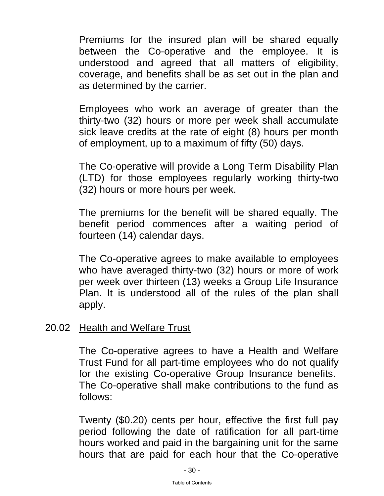<span id="page-33-0"></span>Premiums for the insured plan will be shared equally between the Co-operative and the employee. It is understood and agreed that all matters of eligibility, coverage, and benefits shall be as set out in the plan and as determined by the carrier.

 Employees who work an average of greater than the thirty-two (32) hours or more per week shall accumulate sick leave credits at the rate of eight (8) hours per month of employment, up to a maximum of fifty (50) days.

 The Co-operative will provide a Long Term Disability Plan (LTD) for those employees regularly working thirty-two (32) hours or more hours per week.

 The premiums for the benefit will be shared equally. The benefit period commences after a waiting period of fourteen (14) calendar days.

 The Co-operative agrees to make available to employees who have averaged thirty-two (32) hours or more of work per week over thirteen (13) weeks a Group Life Insurance Plan. It is understood all of the rules of the plan shall apply.

#### 20.02 Health and Welfare Trust

 The Co-operative agrees to have a Health and Welfare Trust Fund for all part-time employees who do not qualify for the existing Co-operative Group Insurance benefits. The Co-operative shall make contributions to the fund as follows:

 Twenty (\$0.20) cents per hour, effective the first full pay period following the date of ratification for all part-time hours worked and paid in the bargaining unit for the same hours that are [paid for each hour t](#page-1-0)hat the Co-operative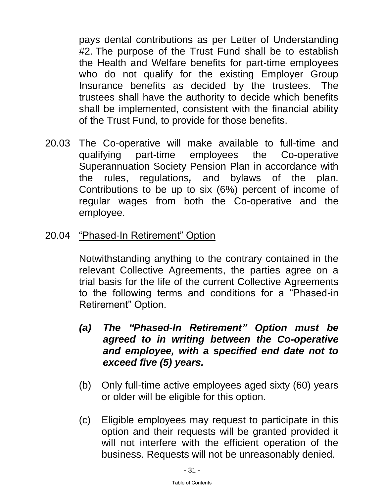<span id="page-34-0"></span>pays dental contributions as per Letter of Understanding #2. The purpose of the Trust Fund shall be to establish the Health and Welfare benefits for part-time employees who do not qualify for the existing Employer Group Insurance benefits as decided by the trustees. The trustees shall have the authority to decide which benefits shall be implemented, consistent with the financial ability of the Trust Fund, to provide for those benefits.

- 20.03 The Co-operative will make available to full-time and qualifying part-time employees the Co-operative Superannuation Society Pension Plan in accordance with the rules, regulations*,* and bylaws of the plan. Contributions to be up to six (6%) percent of income of regular wages from both the Co-operative and the employee.
- 20.04 "Phased-In Retirement" Option

 Notwithstanding anything to the contrary contained in the relevant Collective Agreements, the parties agree on a trial basis for the life of the current Collective Agreements to the following terms and conditions for a "Phased-in Retirement" Option.

- *(a) The "Phased-In Retirement" Option must be agreed to in writing between the Co-operative and employee, with a specified end date not to exceed five (5) years.*
- (b) Only full-time active employees aged sixty (60) years or older will be eligible for this option.
- (c) Eligible employees may request to participate in this option and their requests will be granted provided it will not interfere with the efficient operation of the business. Requests will not be unreasonably denied.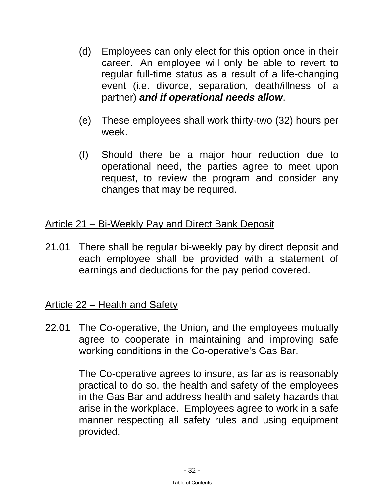- <span id="page-35-0"></span>(d) Employees can only elect for this option once in their career. An employee will only be able to revert to regular full-time status as a result of a life-changing event (i.e. divorce, separation, death/illness of a partner) *and if operational needs allow*.
- (e) These employees shall work thirty-two (32) hours per week.
- (f) Should there be a major hour reduction due to operational need, the parties agree to meet upon request, to review the program and consider any changes that may be required.

# Article 21 – Bi-Weekly Pay and Direct Bank Deposit

21.01 There shall be regular bi-weekly pay by direct deposit and each employee shall be provided with a statement of earnings and deductions for the pay period covered.

## Article 22 – Health and Safety

22.01 The Co-operative, the Union*,* and the employees mutually agree to cooperate in maintaining and improving safe working conditions in the Co-operative's Gas Bar.

> The Co-operative agrees to insure, as far as is reasonably practical to do so, the health and safety of the employees in the Gas Bar and address health and safety hazards that arise in the workplace. Employees agree to work in a safe manner respecting all safety rules and using equipment provided.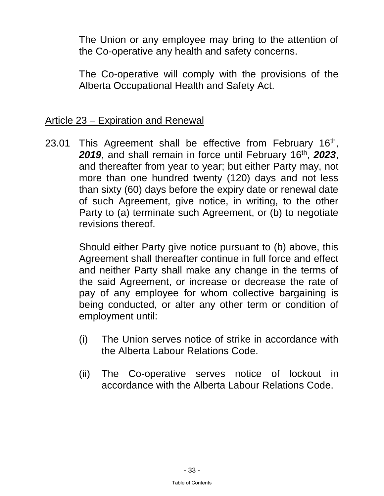<span id="page-36-0"></span>The Union or any employee may bring to the attention of the Co-operative any health and safety concerns.

The Co-operative will comply with the provisions of the Alberta Occupational Health and Safety Act.

#### Article 23 – Expiration and Renewal

23.01 This Agreement shall be effective from February 16<sup>th</sup>, 2019, and shall remain in force until February 16<sup>th</sup>, 2023, and thereafter from year to year; but either Party may, not more than one hundred twenty (120) days and not less than sixty (60) days before the expiry date or renewal date of such Agreement, give notice, in writing, to the other Party to (a) terminate such Agreement, or (b) to negotiate revisions thereof.

> Should either Party give notice pursuant to (b) above, this Agreement shall thereafter continue in full force and effect and neither Party shall make any change in the terms of the said Agreement, or increase or decrease the rate of pay of any employee for whom collective bargaining is being conducted, or alter any other term or condition of employment until:

- (i) The Union serves notice of strike in accordance with the Alberta Labour Relations Code.
- (ii) The Co-operative serves notice of lockout in accordance with the Alberta Labour Relations Code.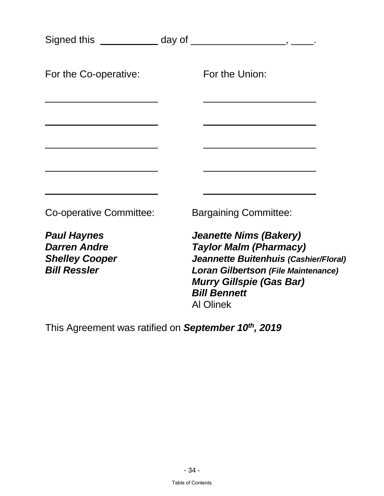|                                                                                           | Signed this ______________ day of _____________________, _____.                                                                                                                                                                     |
|-------------------------------------------------------------------------------------------|-------------------------------------------------------------------------------------------------------------------------------------------------------------------------------------------------------------------------------------|
| For the Co-operative:                                                                     | For the Union:                                                                                                                                                                                                                      |
|                                                                                           |                                                                                                                                                                                                                                     |
|                                                                                           |                                                                                                                                                                                                                                     |
|                                                                                           |                                                                                                                                                                                                                                     |
| Co-operative Committee:                                                                   | <b>Bargaining Committee:</b>                                                                                                                                                                                                        |
| <b>Paul Haynes</b><br><b>Darren Andre</b><br><b>Shelley Cooper</b><br><b>Bill Ressler</b> | <b>Jeanette Nims (Bakery)</b><br><b>Taylor Malm (Pharmacy)</b><br>Jeannette Buitenhuis (Cashier/Floral)<br><b>Loran Gilbertson (File Maintenance)</b><br><b>Murry Gillspie (Gas Bar)</b><br><b>Bill Bennett</b><br><b>Al Olinek</b> |
|                                                                                           |                                                                                                                                                                                                                                     |

This Agreement was ratified on *September 10th, 2019*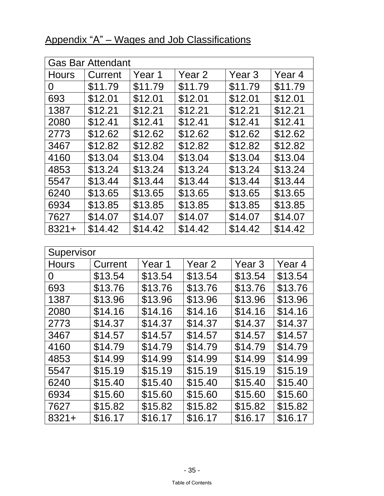| <b>Gas Bar Attendant</b> |         |         |         |                   |         |
|--------------------------|---------|---------|---------|-------------------|---------|
| <b>Hours</b>             | Current | Year 1  | Year 2  | Year <sub>3</sub> | Year 4  |
| 0                        | \$11.79 | \$11.79 | \$11.79 | \$11.79           | \$11.79 |
| 693                      | \$12.01 | \$12.01 | \$12.01 | \$12.01           | \$12.01 |
| 1387                     | \$12.21 | \$12.21 | \$12.21 | \$12.21           | \$12.21 |
| 2080                     | \$12.41 | \$12.41 | \$12.41 | \$12.41           | \$12.41 |
| 2773                     | \$12.62 | \$12.62 | \$12.62 | \$12.62           | \$12.62 |
| 3467                     | \$12.82 | \$12.82 | \$12.82 | \$12.82           | \$12.82 |
| 4160                     | \$13.04 | \$13.04 | \$13.04 | \$13.04           | \$13.04 |
| 4853                     | \$13.24 | \$13.24 | \$13.24 | \$13.24           | \$13.24 |
| 5547                     | \$13.44 | \$13.44 | \$13.44 | \$13.44           | \$13.44 |
| 6240                     | \$13.65 | \$13.65 | \$13.65 | \$13.65           | \$13.65 |
| 6934                     | \$13.85 | \$13.85 | \$13.85 | \$13.85           | \$13.85 |
| 7627                     | \$14.07 | \$14.07 | \$14.07 | \$14.07           | \$14.07 |
| $8321 +$                 | \$14.42 | \$14.42 | \$14.42 | \$14.42           | \$14.42 |

# <span id="page-38-0"></span>Appendix "A" – Wages and Job Classifications

| Supervisor   |         |         |         |                   |         |
|--------------|---------|---------|---------|-------------------|---------|
| <b>Hours</b> | Current | Year 1  | Year 2  | Year <sub>3</sub> | Year 4  |
| 0            | \$13.54 | \$13.54 | \$13.54 | \$13.54           | \$13.54 |
| 693          | \$13.76 | \$13.76 | \$13.76 | \$13.76           | \$13.76 |
| 1387         | \$13.96 | \$13.96 | \$13.96 | \$13.96           | \$13.96 |
| 2080         | \$14.16 | \$14.16 | \$14.16 | \$14.16           | \$14.16 |
| 2773         | \$14.37 | \$14.37 | \$14.37 | \$14.37           | \$14.37 |
| 3467         | \$14.57 | \$14.57 | \$14.57 | \$14.57           | \$14.57 |
| 4160         | \$14.79 | \$14.79 | \$14.79 | \$14.79           | \$14.79 |
| 4853         | \$14.99 | \$14.99 | \$14.99 | \$14.99           | \$14.99 |
| 5547         | \$15.19 | \$15.19 | \$15.19 | \$15.19           | \$15.19 |
| 6240         | \$15.40 | \$15.40 | \$15.40 | \$15.40           | \$15.40 |
| 6934         | \$15.60 | \$15.60 | \$15.60 | \$15.60           | \$15.60 |
| 7627         | \$15.82 | \$15.82 | \$15.82 | \$15.82           | \$15.82 |
| $8321 +$     | \$16.17 | \$16.17 | \$16.17 | \$16.17           | \$16.17 |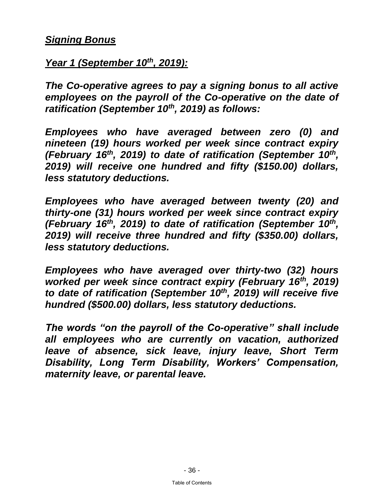#### <span id="page-39-0"></span>*Signing Bonus*

*Year 1 (September 10th, 2019):*

*The Co-operative agrees to pay a signing bonus to all active employees on the payroll of the Co-operative on the date of ratification (September 10th, 2019) as follows:* 

*Employees who have averaged between zero (0) and nineteen (19) hours worked per week since contract expiry (February 16th, 2019) to date of ratification (September 10th , 2019) will receive one hundred and fifty (\$150.00) dollars, less statutory deductions.* 

*Employees who have averaged between twenty (20) and thirty-one (31) hours worked per week since contract expiry (February 16th, 2019) to date of ratification (September 10th , 2019) will receive three hundred and fifty (\$350.00) dollars, less statutory deductions.* 

*Employees who have averaged over thirty-two (32) hours worked per week since contract expiry (February 16th, 2019) to date of ratification (September 10th, 2019) will receive five hundred (\$500.00) dollars, less statutory deductions.* 

*The words "on the payroll of the Co-operative" shall include all employees who are currently on vacation, authorized leave of absence, sick leave, injury leave, Short Term Disability, Long Term Disability, Workers' Compensation, maternity leave, or parental leave.*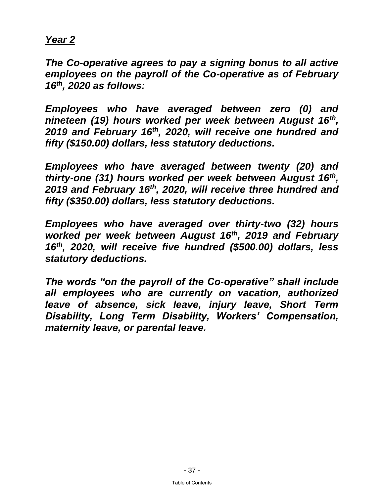## *Year 2*

*The Co-operative agrees to pay a signing bonus to all active employees on the payroll of the Co-operative as of February 16th, 2020 as follows:*

*Employees who have averaged between zero (0) and nineteen (19) hours worked per week between August 16th , 2019 and February 16th, 2020, will receive one hundred and fifty (\$150.00) dollars, less statutory deductions.* 

*Employees who have averaged between twenty (20) and thirty-one (31) hours worked per week between August 16th , 2019 and February 16th, 2020, will receive three hundred and fifty (\$350.00) dollars, less statutory deductions.* 

*Employees who have averaged over thirty-two (32) hours worked per week between August 16th, 2019 and February 16th, 2020, will receive five hundred (\$500.00) dollars, less statutory deductions.* 

*The words "on the payroll of the Co-operative" shall include all employees who are currently on vacation, authorized leave of absence, sick leave, injury leave, Short Term Disability, Long Term Disability, Workers' Compensation, maternity leave, or parental leave.*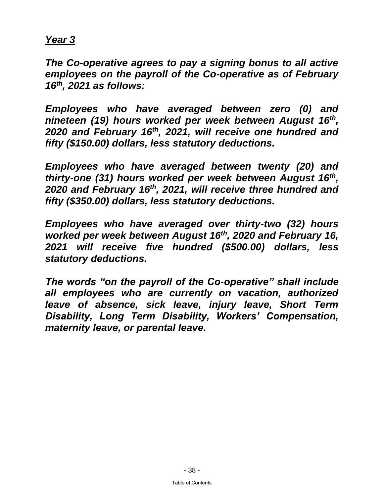#### *Year 3*

*The Co-operative agrees to pay a signing bonus to all active employees on the payroll of the Co-operative as of February 16th, 2021 as follows:*

*Employees who have averaged between zero (0) and nineteen (19) hours worked per week between August 16th , 2020 and February 16th, 2021, will receive one hundred and fifty (\$150.00) dollars, less statutory deductions.* 

*Employees who have averaged between twenty (20) and thirty-one (31) hours worked per week between August 16th , 2020 and February 16th, 2021, will receive three hundred and fifty (\$350.00) dollars, less statutory deductions.* 

*Employees who have averaged over thirty-two (32) hours worked per week between August 16th, 2020 and February 16, 2021 will receive five hundred (\$500.00) dollars, less statutory deductions.* 

*The words "on the payroll of the Co-operative" shall include all employees who are currently on vacation, authorized leave of absence, sick leave, injury leave, Short Term Disability, Long Term Disability, Workers' Compensation, maternity leave, or parental leave.*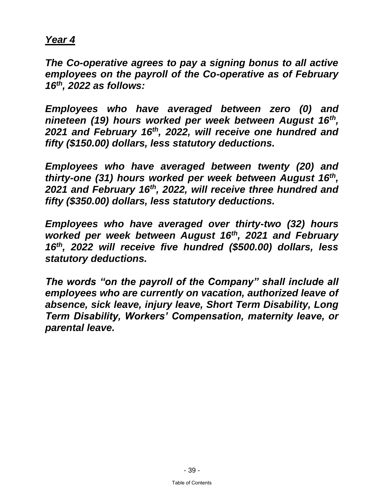#### *Year 4*

*The Co-operative agrees to pay a signing bonus to all active employees on the payroll of the Co-operative as of February 16th, 2022 as follows:*

*Employees who have averaged between zero (0) and nineteen (19) hours worked per week between August 16th , 2021 and February 16th, 2022, will receive one hundred and fifty (\$150.00) dollars, less statutory deductions.* 

*Employees who have averaged between twenty (20) and thirty-one (31) hours worked per week between August 16th , 2021 and February 16th, 2022, will receive three hundred and fifty (\$350.00) dollars, less statutory deductions.* 

*Employees who have averaged over thirty-two (32) hours worked per week between August 16th, 2021 and February 16th, 2022 will receive five hundred (\$500.00) dollars, less statutory deductions.* 

*The words "on the payroll of the Company" shall include all employees who are currently on vacation, authorized leave of absence, sick leave, injury leave, Short Term Disability, Long Term Disability, Workers' Compensation, maternity leave, or parental leave.*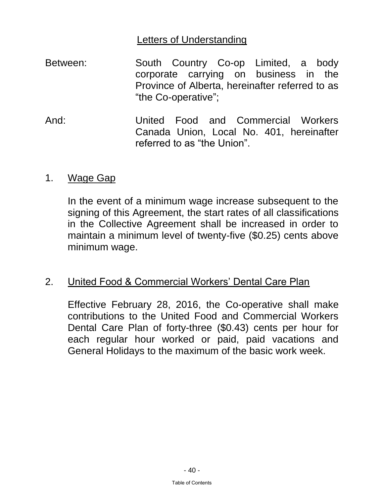## **Letters of Understanding**

- <span id="page-43-0"></span>Between: South Country Co-op Limited, a body corporate carrying on business in the Province of Alberta, hereinafter referred to as "the Co-operative";
- And: United Food and Commercial Workers Canada Union, Local No. 401, hereinafter referred to as "the Union".

#### 1. Wage Gap

In the event of a minimum wage increase subsequent to the signing of this Agreement, the start rates of all classifications in the Collective Agreement shall be increased in order to maintain a minimum level of twenty-five (\$0.25) cents above minimum wage.

# 2. United Food & Commercial Workers' Dental Care Plan

Effective February 28, 2016, the Co-operative shall make contributions to the United Food and Commercial Workers Dental Care Plan of forty-three (\$0.43) cents per hour for each regular hour worked or paid, paid vacations and General Holidays to the maximum of the basic work week.